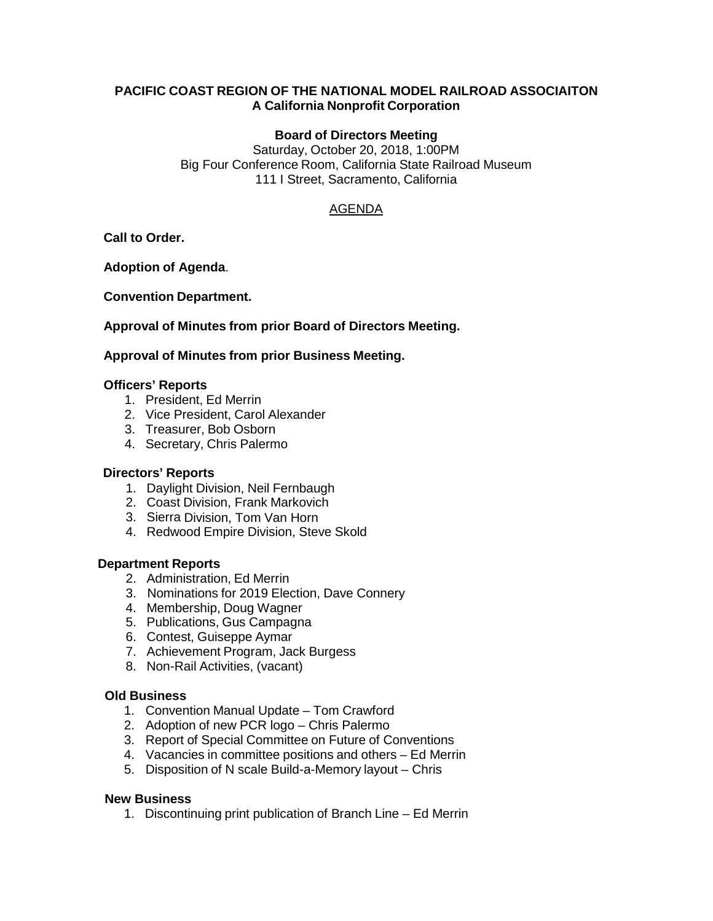## **PACIFIC COAST REGION OF THE NATIONAL MODEL RAILROAD ASSOCIAITON A California Nonprofit Corporation**

## **Board of Directors Meeting**

Saturday, October 20, 2018, 1:00PM Big Four Conference Room, California State Railroad Museum 111 I Street, Sacramento, California

# AGENDA

**Call to Order.**

**Adoption of Agenda**.

**Convention Department.**

## **Approval of Minutes from prior Board of Directors Meeting.**

## **Approval of Minutes from prior Business Meeting.**

## **Officers' Reports**

- 1. President, Ed Merrin
- 2. Vice President, Carol Alexander
- 3. Treasurer, Bob Osborn
- 4. Secretary, Chris Palermo

#### **Directors' Reports**

- 1. Daylight Division, Neil Fernbaugh
- 2. Coast Division, Frank Markovich
- 3. Sierra Division, Tom Van Horn
- 4. Redwood Empire Division, Steve Skold

#### **Department Reports**

- 2. Administration, Ed Merrin
- 3. Nominations for 2019 Election, Dave Connery
- 4. Membership, Doug Wagner
- 5. Publications, Gus Campagna
- 6. Contest, Guiseppe Aymar
- 7. Achievement Program, Jack Burgess
- 8. Non-Rail Activities, (vacant)

#### **Old Business**

- 1. Convention Manual Update Tom Crawford
- 2. Adoption of new PCR logo Chris Palermo
- 3. Report of Special Committee on Future of Conventions
- 4. Vacancies in committee positions and others Ed Merrin
- 5. Disposition of N scale Build-a-Memory layout Chris

#### **New Business**

1. Discontinuing print publication of Branch Line – Ed Merrin